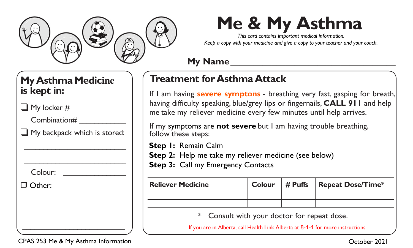

# **Me & My Asthma**

*This card contains important medical information. Keep a copy with your medicine and give a copy to your teacher and your coach.*

#### **My Name\_\_\_\_\_\_\_\_\_\_\_\_\_\_\_\_\_\_\_\_\_\_\_\_\_\_\_\_\_\_\_\_\_\_\_\_**

## **Treatment for Asthma Attack**

If I am having **severe symptons** - breathing very fast, gasping for breath, having difficulty speaking, blue/grey lips or fingernails, **CALL 911** and help me take my reliever medicine every few minutes until help arrives.

If my symptoms are **not severe** but I am having trouble breathing, follow these steps:

**Step 1:** Remain Calm

**Step 2:** Help me take my reliever medicine (see below)

**Step 3: Call my Emergency Contacts** 

| <b>Reliever Medicine</b> | Colour | # Puffs   Repeat Dose/Time* |
|--------------------------|--------|-----------------------------|
|                          |        |                             |
|                          |        |                             |
|                          |        |                             |

Consult with your doctor for repeat dose.

If you are in Alberta, call Health Link Alberta at 8-1-1 for more instructions

## **My Asthma Medicine is kept in:**

 $\Box$  My locker #

Combination#

❑ My backpack which is stored: \_\_\_\_\_\_\_\_\_\_\_\_\_\_\_\_\_\_\_\_\_\_\_\_\_\_

\_\_\_\_\_\_\_\_\_\_\_\_\_\_\_\_\_\_\_\_\_\_\_\_\_\_

Colour: \_\_\_\_\_\_\_\_\_\_\_\_\_\_\_\_

Other:

#### $\overline{\phantom{a}}$  , which is a set of the set of the set of the set of the set of the set of the set of the set of the set of the set of the set of the set of the set of the set of the set of the set of the set of the set of th CPAS 253 Me & My Asthma Information

\_\_\_\_\_\_\_\_\_\_\_\_\_\_\_\_\_\_\_\_\_\_\_\_\_\_ \_\_\_\_\_\_\_\_\_\_\_\_\_\_\_\_\_\_\_\_\_\_\_\_\_\_